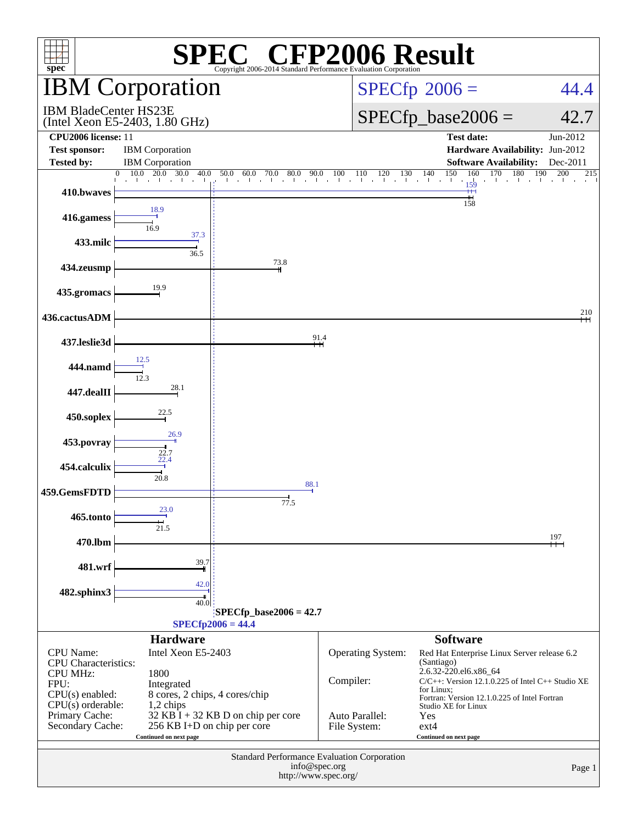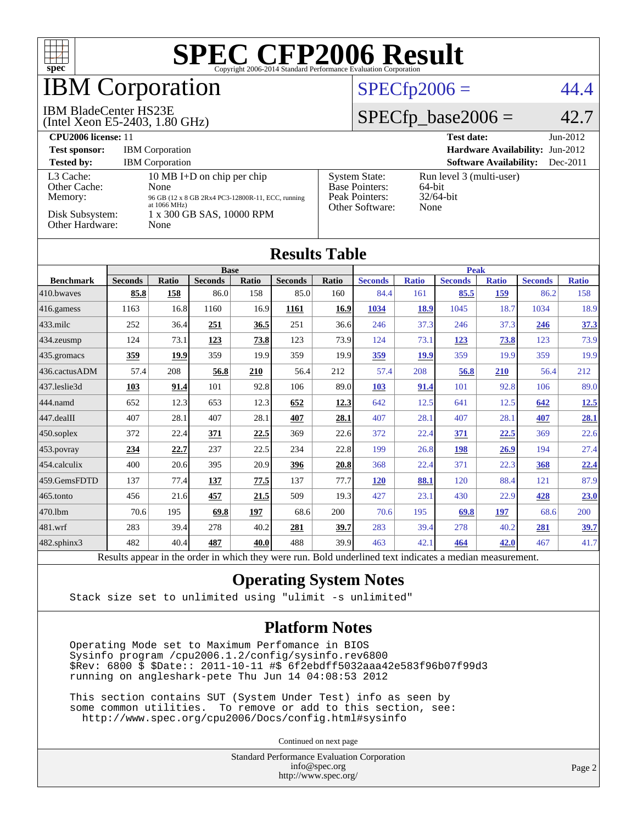

## **BM Corporation**

#### IBM BladeCenter HS23E

(Intel Xeon E5-2403, 1.80 GHz)

#### $SPECfp2006 = 44.4$  $SPECfp2006 = 44.4$

#### $SPECfp\_base2006 = 42.7$

| <b>CPU2006 license: 11</b>                                                 |                                                                                                                                                       |                                                                                    | <b>Test date:</b><br>$Jun-2012$                               |  |
|----------------------------------------------------------------------------|-------------------------------------------------------------------------------------------------------------------------------------------------------|------------------------------------------------------------------------------------|---------------------------------------------------------------|--|
| <b>Test sponsor:</b>                                                       | <b>IBM</b> Corporation                                                                                                                                | <b>Hardware Availability: Jun-2012</b>                                             |                                                               |  |
| <b>Tested by:</b>                                                          | <b>IBM</b> Corporation                                                                                                                                |                                                                                    | <b>Software Availability:</b><br>$Dec-2011$                   |  |
| L3 Cache:<br>Other Cache:<br>Memory:<br>Disk Subsystem:<br>Other Hardware: | 10 MB I+D on chip per chip<br>None<br>96 GB (12 x 8 GB 2Rx4 PC3-12800R-11, ECC, running<br>at $1066 \text{ MHz}$<br>1 x 300 GB SAS, 10000 RPM<br>None | <b>System State:</b><br><b>Base Pointers:</b><br>Peak Pointers:<br>Other Software: | Run level 3 (multi-user)<br>$64$ -bit<br>$32/64$ -bit<br>None |  |

| <b>Results Table</b> |                                                                                                      |              |                |       |                |             |                |              |                |              |                |              |
|----------------------|------------------------------------------------------------------------------------------------------|--------------|----------------|-------|----------------|-------------|----------------|--------------|----------------|--------------|----------------|--------------|
|                      | <b>Base</b>                                                                                          |              |                |       |                | <b>Peak</b> |                |              |                |              |                |              |
| <b>Benchmark</b>     | <b>Seconds</b>                                                                                       | <b>Ratio</b> | <b>Seconds</b> | Ratio | <b>Seconds</b> | Ratio       | <b>Seconds</b> | <b>Ratio</b> | <b>Seconds</b> | <b>Ratio</b> | <b>Seconds</b> | <b>Ratio</b> |
| 410.bwayes           | 85.8                                                                                                 | 158          | 86.0           | 158   | 85.0           | 160         | 84.4           | 161          | 85.5           | 159          | 86.2           | 158          |
| 416.gamess           | 1163                                                                                                 | 16.8         | 1160           | 16.9  | 1161           | 16.9        | 1034           | 18.9         | 1045           | 18.7         | 1034           | 18.9         |
| $433$ .milc          | 252                                                                                                  | 36.4         | 251            | 36.5  | 251            | 36.6        | 246            | 37.3         | 246            | 37.3         | 246            | 37.3         |
| 434.zeusmp           | 124                                                                                                  | 73.1         | 123            | 73.8  | 123            | 73.9        | 124            | 73.1         | <u>123</u>     | 73.8         | 123            | 73.9         |
| 435.gromacs          | <u>359</u>                                                                                           | 19.9         | 359            | 19.9  | 359            | 19.9        | <u>359</u>     | 19.9         | 359            | 19.9         | 359            | 19.9         |
| 436.cactusADM        | 57.4                                                                                                 | 208          | 56.8           | 210   | 56.4           | 212         | 57.4           | 208          | 56.8           | 210          | 56.4           | 212          |
| 437.leslie3d         | 103                                                                                                  | 91.4         | 101            | 92.8  | 106            | 89.0        | <b>103</b>     | 91.4         | 101            | 92.8         | 106            | 89.0         |
| 444.namd             | 652                                                                                                  | 12.3         | 653            | 12.3  | 652            | 12.3        | 642            | 12.5         | 641            | 12.5         | 642            | 12.5         |
| $447$ .dealII        | 407                                                                                                  | 28.1         | 407            | 28.1  | 407            | 28.1        | 407            | 28.1         | 407            | 28.1         | 407            | 28.1         |
| $450$ .soplex        | 372                                                                                                  | 22.4         | 371            | 22.5  | 369            | 22.6        | 372            | 22.4         | 371            | 22.5         | 369            | 22.6         |
| 453.povray           | 234                                                                                                  | 22.7         | 237            | 22.5  | 234            | 22.8        | 199            | 26.8         | 198            | 26.9         | 194            | 27.4         |
| 454.calculix         | 400                                                                                                  | 20.6         | 395            | 20.9  | 396            | 20.8        | 368            | 22.4         | 371            | 22.3         | 368            | 22.4         |
| 459.GemsFDTD         | 137                                                                                                  | 77.4         | 137            | 77.5  | 137            | 77.7        | <b>120</b>     | 88.1         | 120            | 88.4         | 121            | 87.9         |
| $465$ .tonto         | 456                                                                                                  | 21.6         | 457            | 21.5  | 509            | 19.3        | 427            | 23.1         | 430            | 22.9         | 428            | 23.0         |
| 470.1bm              | 70.6                                                                                                 | 195          | 69.8           | 197   | 68.6           | 200         | 70.6           | 195          | 69.8           | 197          | 68.6           | 200          |
| 481.wrf              | 283                                                                                                  | 39.4         | 278            | 40.2  | 281            | 39.7        | 283            | 39.4         | 278            | 40.2         | 281            | 39.7         |
| 482.sphinx3          | 482                                                                                                  | 40.4         | 487            | 40.0  | 488            | 39.9        | 463            | 42.1         | 464            | 42.0         | 467            | 41.7         |
|                      | Decute ennear in the order in which thay were my Dold underlined taut indicates a modian measurement |              |                |       |                |             |                |              |                |              |                |              |

Results appear in the [order in which they were run.](http://www.spec.org/auto/cpu2006/Docs/result-fields.html#RunOrder) Bold underlined text [indicates a median measurement.](http://www.spec.org/auto/cpu2006/Docs/result-fields.html#Median)

#### **[Operating System Notes](http://www.spec.org/auto/cpu2006/Docs/result-fields.html#OperatingSystemNotes)**

Stack size set to unlimited using "ulimit -s unlimited"

#### **[Platform Notes](http://www.spec.org/auto/cpu2006/Docs/result-fields.html#PlatformNotes)**

 Operating Mode set to Maximum Perfomance in BIOS Sysinfo program /cpu2006.1.2/config/sysinfo.rev6800 \$Rev: 6800 \$ \$Date:: 2011-10-11 #\$ 6f2ebdff5032aaa42e583f96b07f99d3 running on angleshark-pete Thu Jun 14 04:08:53 2012

 This section contains SUT (System Under Test) info as seen by some common utilities. To remove or add to this section, see: <http://www.spec.org/cpu2006/Docs/config.html#sysinfo>

Continued on next page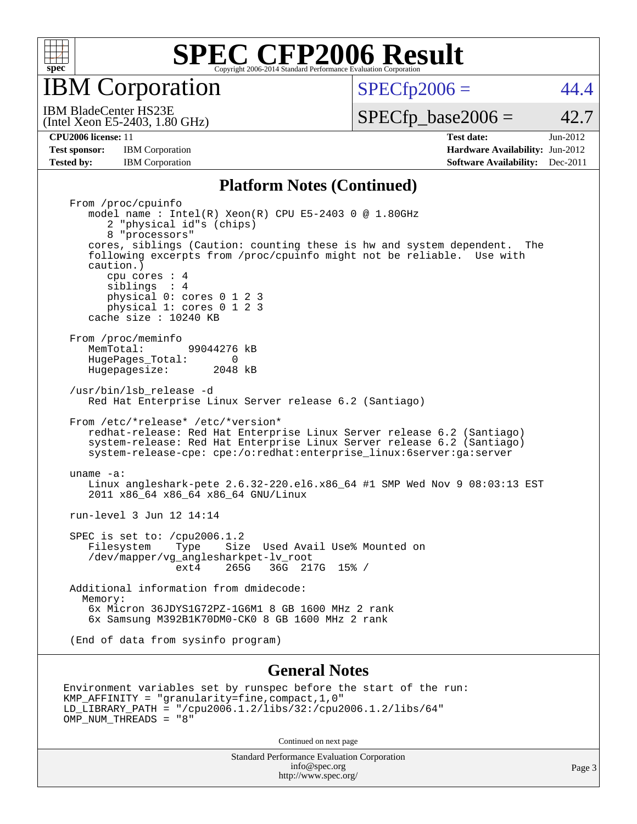

IBM Corporation

 $SPECTp2006 = 44.4$ 

(Intel Xeon E5-2403, 1.80 GHz) IBM BladeCenter HS23E

 $SPECTp\_base2006 = 42.7$ 

**[Test sponsor:](http://www.spec.org/auto/cpu2006/Docs/result-fields.html#Testsponsor)** IBM Corporation **[Hardware Availability:](http://www.spec.org/auto/cpu2006/Docs/result-fields.html#HardwareAvailability)** Jun-2012 **[Tested by:](http://www.spec.org/auto/cpu2006/Docs/result-fields.html#Testedby)** IBM Corporation **[Software Availability:](http://www.spec.org/auto/cpu2006/Docs/result-fields.html#SoftwareAvailability)** Dec-2011

**[CPU2006 license:](http://www.spec.org/auto/cpu2006/Docs/result-fields.html#CPU2006license)** 11 **[Test date:](http://www.spec.org/auto/cpu2006/Docs/result-fields.html#Testdate)** Jun-2012

#### **[Platform Notes \(Continued\)](http://www.spec.org/auto/cpu2006/Docs/result-fields.html#PlatformNotes)**

 From /proc/cpuinfo model name : Intel(R) Xeon(R) CPU E5-2403 0 @ 1.80GHz 2 "physical id"s (chips) 8 "processors" cores, siblings (Caution: counting these is hw and system dependent. The following excerpts from /proc/cpuinfo might not be reliable. Use with caution.) cpu cores : 4 siblings : 4 physical 0: cores 0 1 2 3 physical 1: cores 0 1 2 3 cache size : 10240 KB From /proc/meminfo<br>MemTotal: 99044276 kB HugePages\_Total: 0<br>Hugepagesize: 2048 kB Hugepagesize: /usr/bin/lsb\_release -d Red Hat Enterprise Linux Server release 6.2 (Santiago) From /etc/\*release\* /etc/\*version\* redhat-release: Red Hat Enterprise Linux Server release 6.2 (Santiago) system-release: Red Hat Enterprise Linux Server release 6.2 (Santiago) system-release-cpe: cpe:/o:redhat:enterprise\_linux:6server:ga:server uname -a: Linux angleshark-pete 2.6.32-220.el6.x86\_64 #1 SMP Wed Nov 9 08:03:13 EST 2011 x86\_64 x86\_64 x86\_64 GNU/Linux run-level 3 Jun 12 14:14 SPEC is set to: /cpu2006.1.2<br>Filesystem Type Size Type Size Used Avail Use% Mounted on /dev/mapper/vg\_anglesharkpet-lv\_root ext4 265G 36G 217G 15% / Additional information from dmidecode: Memory: 6x Micron 36JDYS1G72PZ-1G6M1 8 GB 1600 MHz 2 rank 6x Samsung M392B1K70DM0-CK0 8 GB 1600 MHz 2 rank (End of data from sysinfo program)

#### **[General Notes](http://www.spec.org/auto/cpu2006/Docs/result-fields.html#GeneralNotes)**

```
Environment variables set by runspec before the start of the run:
KMP_AFFINITY = "granularity=fine,compact,1,0"
LD_LIBRARY_PATH = "/cpu2006.1.2/libs/32:/cpu2006.1.2/libs/64"
OMP_NUM_THREADS = "8"
```
Continued on next page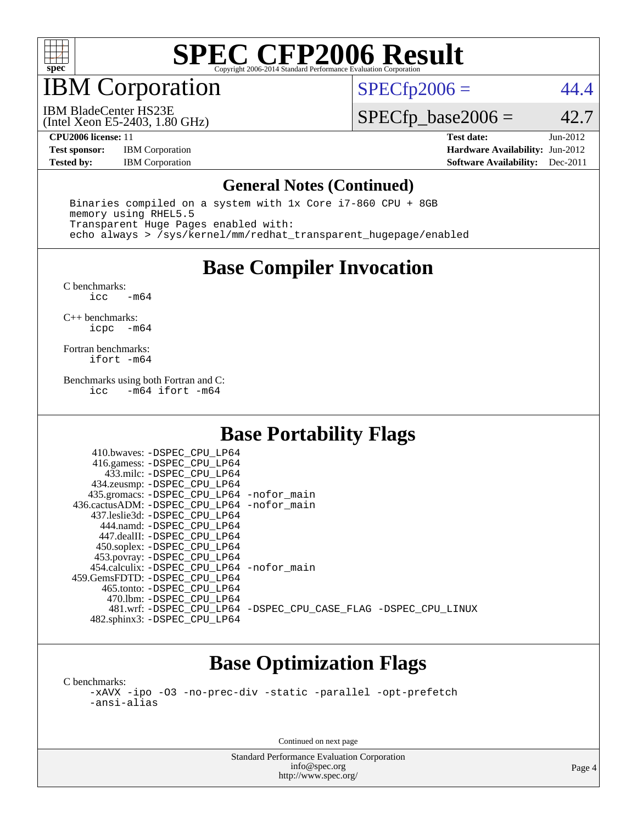

## IBM Corporation

 $SPECTp2006 = 44.4$ 

IBM BladeCenter HS23E

 $SPECfp\_base2006 = 42.7$ 

**[Test sponsor:](http://www.spec.org/auto/cpu2006/Docs/result-fields.html#Testsponsor)** IBM Corporation **[Hardware Availability:](http://www.spec.org/auto/cpu2006/Docs/result-fields.html#HardwareAvailability)** Jun-2012

(Intel Xeon E5-2403, 1.80 GHz)

**[CPU2006 license:](http://www.spec.org/auto/cpu2006/Docs/result-fields.html#CPU2006license)** 11 **[Test date:](http://www.spec.org/auto/cpu2006/Docs/result-fields.html#Testdate)** Jun-2012 **[Tested by:](http://www.spec.org/auto/cpu2006/Docs/result-fields.html#Testedby)** IBM Corporation **[Software Availability:](http://www.spec.org/auto/cpu2006/Docs/result-fields.html#SoftwareAvailability)** Dec-2011

#### **[General Notes \(Continued\)](http://www.spec.org/auto/cpu2006/Docs/result-fields.html#GeneralNotes)**

 Binaries compiled on a system with 1x Core i7-860 CPU + 8GB memory using RHEL5.5 Transparent Huge Pages enabled with: echo always > /sys/kernel/mm/redhat\_transparent\_hugepage/enabled

### **[Base Compiler Invocation](http://www.spec.org/auto/cpu2006/Docs/result-fields.html#BaseCompilerInvocation)**

[C benchmarks](http://www.spec.org/auto/cpu2006/Docs/result-fields.html#Cbenchmarks):  $-m64$ 

[C++ benchmarks:](http://www.spec.org/auto/cpu2006/Docs/result-fields.html#CXXbenchmarks) [icpc -m64](http://www.spec.org/cpu2006/results/res2012q3/cpu2006-20120618-22998.flags.html#user_CXXbase_intel_icpc_64bit_bedb90c1146cab66620883ef4f41a67e)

[Fortran benchmarks](http://www.spec.org/auto/cpu2006/Docs/result-fields.html#Fortranbenchmarks): [ifort -m64](http://www.spec.org/cpu2006/results/res2012q3/cpu2006-20120618-22998.flags.html#user_FCbase_intel_ifort_64bit_ee9d0fb25645d0210d97eb0527dcc06e)

[Benchmarks using both Fortran and C](http://www.spec.org/auto/cpu2006/Docs/result-fields.html#BenchmarksusingbothFortranandC):<br>icc -m64 ifort -m64  $-m64$  ifort  $-m64$ 

### **[Base Portability Flags](http://www.spec.org/auto/cpu2006/Docs/result-fields.html#BasePortabilityFlags)**

| 410.bwaves: -DSPEC CPU LP64                  |                                                                |
|----------------------------------------------|----------------------------------------------------------------|
| 416.gamess: - DSPEC_CPU_LP64                 |                                                                |
| 433.milc: -DSPEC CPU LP64                    |                                                                |
| 434.zeusmp: -DSPEC_CPU_LP64                  |                                                                |
| 435.gromacs: -DSPEC_CPU_LP64 -nofor_main     |                                                                |
| 436.cactusADM: - DSPEC CPU LP64 - nofor main |                                                                |
| 437.leslie3d: -DSPEC CPU LP64                |                                                                |
| 444.namd: - DSPEC_CPU LP64                   |                                                                |
| 447.dealII: -DSPEC_CPU LP64                  |                                                                |
| 450.soplex: -DSPEC_CPU_LP64                  |                                                                |
| 453.povray: -DSPEC_CPU_LP64                  |                                                                |
| 454.calculix: -DSPEC CPU LP64 -nofor main    |                                                                |
| 459. GemsFDTD: - DSPEC CPU LP64              |                                                                |
| 465.tonto: - DSPEC CPU LP64                  |                                                                |
| 470.1bm: - DSPEC CPU LP64                    |                                                                |
|                                              | 481.wrf: -DSPEC CPU_LP64 -DSPEC_CPU_CASE_FLAG -DSPEC_CPU_LINUX |
| 482.sphinx3: -DSPEC_CPU_LP64                 |                                                                |

### **[Base Optimization Flags](http://www.spec.org/auto/cpu2006/Docs/result-fields.html#BaseOptimizationFlags)**

[C benchmarks](http://www.spec.org/auto/cpu2006/Docs/result-fields.html#Cbenchmarks): [-xAVX](http://www.spec.org/cpu2006/results/res2012q3/cpu2006-20120618-22998.flags.html#user_CCbase_f-xAVX) [-ipo](http://www.spec.org/cpu2006/results/res2012q3/cpu2006-20120618-22998.flags.html#user_CCbase_f-ipo) [-O3](http://www.spec.org/cpu2006/results/res2012q3/cpu2006-20120618-22998.flags.html#user_CCbase_f-O3) [-no-prec-div](http://www.spec.org/cpu2006/results/res2012q3/cpu2006-20120618-22998.flags.html#user_CCbase_f-no-prec-div) [-static](http://www.spec.org/cpu2006/results/res2012q3/cpu2006-20120618-22998.flags.html#user_CCbase_f-static) [-parallel](http://www.spec.org/cpu2006/results/res2012q3/cpu2006-20120618-22998.flags.html#user_CCbase_f-parallel) [-opt-prefetch](http://www.spec.org/cpu2006/results/res2012q3/cpu2006-20120618-22998.flags.html#user_CCbase_f-opt-prefetch) [-ansi-alias](http://www.spec.org/cpu2006/results/res2012q3/cpu2006-20120618-22998.flags.html#user_CCbase_f-ansi-alias)

Continued on next page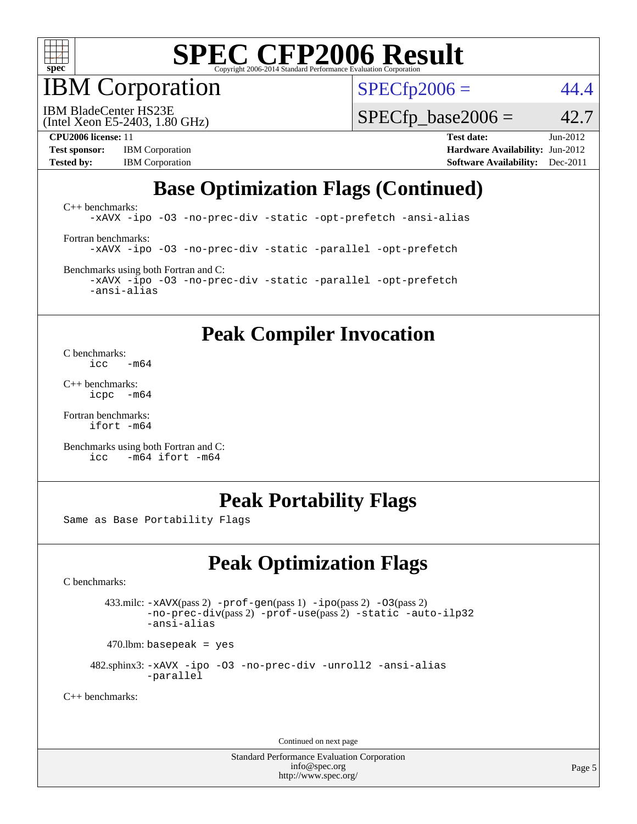

IBM Corporation

 $SPECfp2006 = 44.4$  $SPECfp2006 = 44.4$ 

(Intel Xeon E5-2403, 1.80 GHz) IBM BladeCenter HS23E

 $SPECTp\_base2006 = 42.7$ 

**[Test sponsor:](http://www.spec.org/auto/cpu2006/Docs/result-fields.html#Testsponsor)** IBM Corporation **[Hardware Availability:](http://www.spec.org/auto/cpu2006/Docs/result-fields.html#HardwareAvailability)** Jun-2012

**[CPU2006 license:](http://www.spec.org/auto/cpu2006/Docs/result-fields.html#CPU2006license)** 11 **[Test date:](http://www.spec.org/auto/cpu2006/Docs/result-fields.html#Testdate)** Jun-2012 **[Tested by:](http://www.spec.org/auto/cpu2006/Docs/result-fields.html#Testedby)** IBM Corporation **[Software Availability:](http://www.spec.org/auto/cpu2006/Docs/result-fields.html#SoftwareAvailability)** Dec-2011

## **[Base Optimization Flags \(Continued\)](http://www.spec.org/auto/cpu2006/Docs/result-fields.html#BaseOptimizationFlags)**

[C++ benchmarks:](http://www.spec.org/auto/cpu2006/Docs/result-fields.html#CXXbenchmarks) [-xAVX](http://www.spec.org/cpu2006/results/res2012q3/cpu2006-20120618-22998.flags.html#user_CXXbase_f-xAVX) [-ipo](http://www.spec.org/cpu2006/results/res2012q3/cpu2006-20120618-22998.flags.html#user_CXXbase_f-ipo) [-O3](http://www.spec.org/cpu2006/results/res2012q3/cpu2006-20120618-22998.flags.html#user_CXXbase_f-O3) [-no-prec-div](http://www.spec.org/cpu2006/results/res2012q3/cpu2006-20120618-22998.flags.html#user_CXXbase_f-no-prec-div) [-static](http://www.spec.org/cpu2006/results/res2012q3/cpu2006-20120618-22998.flags.html#user_CXXbase_f-static) [-opt-prefetch](http://www.spec.org/cpu2006/results/res2012q3/cpu2006-20120618-22998.flags.html#user_CXXbase_f-opt-prefetch) [-ansi-alias](http://www.spec.org/cpu2006/results/res2012q3/cpu2006-20120618-22998.flags.html#user_CXXbase_f-ansi-alias) [Fortran benchmarks](http://www.spec.org/auto/cpu2006/Docs/result-fields.html#Fortranbenchmarks): [-xAVX](http://www.spec.org/cpu2006/results/res2012q3/cpu2006-20120618-22998.flags.html#user_FCbase_f-xAVX) [-ipo](http://www.spec.org/cpu2006/results/res2012q3/cpu2006-20120618-22998.flags.html#user_FCbase_f-ipo) [-O3](http://www.spec.org/cpu2006/results/res2012q3/cpu2006-20120618-22998.flags.html#user_FCbase_f-O3) [-no-prec-div](http://www.spec.org/cpu2006/results/res2012q3/cpu2006-20120618-22998.flags.html#user_FCbase_f-no-prec-div) [-static](http://www.spec.org/cpu2006/results/res2012q3/cpu2006-20120618-22998.flags.html#user_FCbase_f-static) [-parallel](http://www.spec.org/cpu2006/results/res2012q3/cpu2006-20120618-22998.flags.html#user_FCbase_f-parallel) [-opt-prefetch](http://www.spec.org/cpu2006/results/res2012q3/cpu2006-20120618-22998.flags.html#user_FCbase_f-opt-prefetch) [Benchmarks using both Fortran and C](http://www.spec.org/auto/cpu2006/Docs/result-fields.html#BenchmarksusingbothFortranandC):

[-xAVX](http://www.spec.org/cpu2006/results/res2012q3/cpu2006-20120618-22998.flags.html#user_CC_FCbase_f-xAVX) [-ipo](http://www.spec.org/cpu2006/results/res2012q3/cpu2006-20120618-22998.flags.html#user_CC_FCbase_f-ipo) [-O3](http://www.spec.org/cpu2006/results/res2012q3/cpu2006-20120618-22998.flags.html#user_CC_FCbase_f-O3) [-no-prec-div](http://www.spec.org/cpu2006/results/res2012q3/cpu2006-20120618-22998.flags.html#user_CC_FCbase_f-no-prec-div) [-static](http://www.spec.org/cpu2006/results/res2012q3/cpu2006-20120618-22998.flags.html#user_CC_FCbase_f-static) [-parallel](http://www.spec.org/cpu2006/results/res2012q3/cpu2006-20120618-22998.flags.html#user_CC_FCbase_f-parallel) [-opt-prefetch](http://www.spec.org/cpu2006/results/res2012q3/cpu2006-20120618-22998.flags.html#user_CC_FCbase_f-opt-prefetch) [-ansi-alias](http://www.spec.org/cpu2006/results/res2012q3/cpu2006-20120618-22998.flags.html#user_CC_FCbase_f-ansi-alias)

#### **[Peak Compiler Invocation](http://www.spec.org/auto/cpu2006/Docs/result-fields.html#PeakCompilerInvocation)**

[C benchmarks](http://www.spec.org/auto/cpu2006/Docs/result-fields.html#Cbenchmarks):  $\frac{1}{2}$ cc  $-\text{m64}$ 

[C++ benchmarks:](http://www.spec.org/auto/cpu2006/Docs/result-fields.html#CXXbenchmarks) [icpc -m64](http://www.spec.org/cpu2006/results/res2012q3/cpu2006-20120618-22998.flags.html#user_CXXpeak_intel_icpc_64bit_bedb90c1146cab66620883ef4f41a67e)

[Fortran benchmarks](http://www.spec.org/auto/cpu2006/Docs/result-fields.html#Fortranbenchmarks): [ifort -m64](http://www.spec.org/cpu2006/results/res2012q3/cpu2006-20120618-22998.flags.html#user_FCpeak_intel_ifort_64bit_ee9d0fb25645d0210d97eb0527dcc06e)

[Benchmarks using both Fortran and C](http://www.spec.org/auto/cpu2006/Docs/result-fields.html#BenchmarksusingbothFortranandC): [icc -m64](http://www.spec.org/cpu2006/results/res2012q3/cpu2006-20120618-22998.flags.html#user_CC_FCpeak_intel_icc_64bit_0b7121f5ab7cfabee23d88897260401c) [ifort -m64](http://www.spec.org/cpu2006/results/res2012q3/cpu2006-20120618-22998.flags.html#user_CC_FCpeak_intel_ifort_64bit_ee9d0fb25645d0210d97eb0527dcc06e)

#### **[Peak Portability Flags](http://www.spec.org/auto/cpu2006/Docs/result-fields.html#PeakPortabilityFlags)**

Same as Base Portability Flags

### **[Peak Optimization Flags](http://www.spec.org/auto/cpu2006/Docs/result-fields.html#PeakOptimizationFlags)**

[C benchmarks](http://www.spec.org/auto/cpu2006/Docs/result-fields.html#Cbenchmarks):

 433.milc: [-xAVX](http://www.spec.org/cpu2006/results/res2012q3/cpu2006-20120618-22998.flags.html#user_peakPASS2_CFLAGSPASS2_LDFLAGS433_milc_f-xAVX)(pass 2) [-prof-gen](http://www.spec.org/cpu2006/results/res2012q3/cpu2006-20120618-22998.flags.html#user_peakPASS1_CFLAGSPASS1_LDFLAGS433_milc_prof_gen_e43856698f6ca7b7e442dfd80e94a8fc)(pass 1) [-ipo](http://www.spec.org/cpu2006/results/res2012q3/cpu2006-20120618-22998.flags.html#user_peakPASS2_CFLAGSPASS2_LDFLAGS433_milc_f-ipo)(pass 2) [-O3](http://www.spec.org/cpu2006/results/res2012q3/cpu2006-20120618-22998.flags.html#user_peakPASS2_CFLAGSPASS2_LDFLAGS433_milc_f-O3)(pass 2) [-no-prec-div](http://www.spec.org/cpu2006/results/res2012q3/cpu2006-20120618-22998.flags.html#user_peakPASS2_CFLAGSPASS2_LDFLAGS433_milc_f-no-prec-div)(pass 2) [-prof-use](http://www.spec.org/cpu2006/results/res2012q3/cpu2006-20120618-22998.flags.html#user_peakPASS2_CFLAGSPASS2_LDFLAGS433_milc_prof_use_bccf7792157ff70d64e32fe3e1250b55)(pass 2) [-static](http://www.spec.org/cpu2006/results/res2012q3/cpu2006-20120618-22998.flags.html#user_peakOPTIMIZE433_milc_f-static) [-auto-ilp32](http://www.spec.org/cpu2006/results/res2012q3/cpu2006-20120618-22998.flags.html#user_peakCOPTIMIZE433_milc_f-auto-ilp32) [-ansi-alias](http://www.spec.org/cpu2006/results/res2012q3/cpu2006-20120618-22998.flags.html#user_peakCOPTIMIZE433_milc_f-ansi-alias)

 $470.$ lbm: basepeak = yes

 482.sphinx3: [-xAVX](http://www.spec.org/cpu2006/results/res2012q3/cpu2006-20120618-22998.flags.html#user_peakOPTIMIZE482_sphinx3_f-xAVX) [-ipo](http://www.spec.org/cpu2006/results/res2012q3/cpu2006-20120618-22998.flags.html#user_peakOPTIMIZE482_sphinx3_f-ipo) [-O3](http://www.spec.org/cpu2006/results/res2012q3/cpu2006-20120618-22998.flags.html#user_peakOPTIMIZE482_sphinx3_f-O3) [-no-prec-div](http://www.spec.org/cpu2006/results/res2012q3/cpu2006-20120618-22998.flags.html#user_peakOPTIMIZE482_sphinx3_f-no-prec-div) [-unroll2](http://www.spec.org/cpu2006/results/res2012q3/cpu2006-20120618-22998.flags.html#user_peakCOPTIMIZE482_sphinx3_f-unroll_784dae83bebfb236979b41d2422d7ec2) [-ansi-alias](http://www.spec.org/cpu2006/results/res2012q3/cpu2006-20120618-22998.flags.html#user_peakCOPTIMIZE482_sphinx3_f-ansi-alias) [-parallel](http://www.spec.org/cpu2006/results/res2012q3/cpu2006-20120618-22998.flags.html#user_peakCOPTIMIZE482_sphinx3_f-parallel)

[C++ benchmarks:](http://www.spec.org/auto/cpu2006/Docs/result-fields.html#CXXbenchmarks)

Continued on next page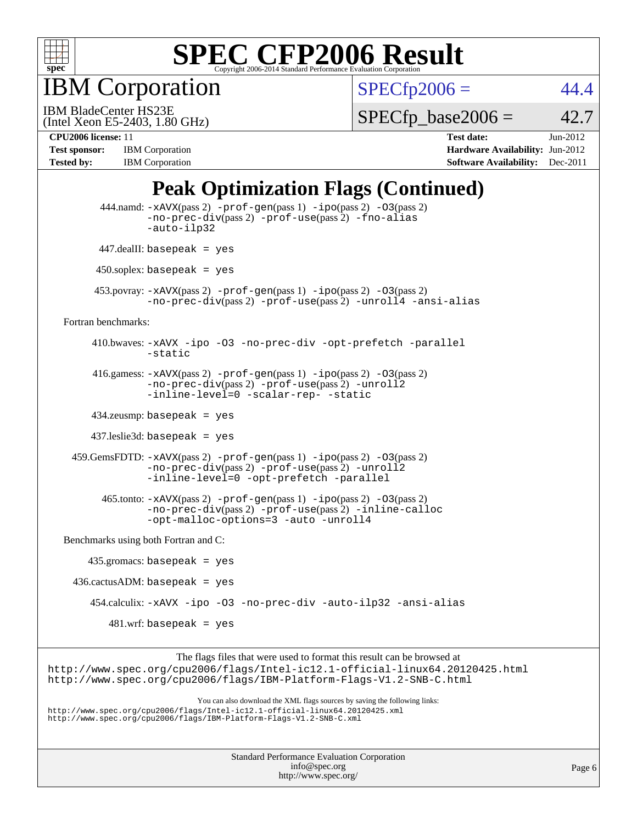

IBM Corporation

 $SPECfp2006 = 44.4$  $SPECfp2006 = 44.4$ 

(Intel Xeon E5-2403, 1.80 GHz) IBM BladeCenter HS23E

 $SPECTp\_base2006 = 42.7$ 

**[Tested by:](http://www.spec.org/auto/cpu2006/Docs/result-fields.html#Testedby)** IBM Corporation **[Software Availability:](http://www.spec.org/auto/cpu2006/Docs/result-fields.html#SoftwareAvailability)** Dec-2011

**[CPU2006 license:](http://www.spec.org/auto/cpu2006/Docs/result-fields.html#CPU2006license)** 11 **[Test date:](http://www.spec.org/auto/cpu2006/Docs/result-fields.html#Testdate)** Jun-2012 **[Test sponsor:](http://www.spec.org/auto/cpu2006/Docs/result-fields.html#Testsponsor)** IBM Corporation **[Hardware Availability:](http://www.spec.org/auto/cpu2006/Docs/result-fields.html#HardwareAvailability)** Jun-2012

## **[Peak Optimization Flags \(Continued\)](http://www.spec.org/auto/cpu2006/Docs/result-fields.html#PeakOptimizationFlags)**

|                                      | 444.namd: -xAVX(pass 2) -prof-gen(pass 1) -ipo(pass 2) -03(pass 2)<br>-no-prec-div(pass 2) -prof-use(pass 2) -fno-alias<br>-auto-ilp32                                                                                            |
|--------------------------------------|-----------------------------------------------------------------------------------------------------------------------------------------------------------------------------------------------------------------------------------|
|                                      | $447$ .dealII: basepeak = yes                                                                                                                                                                                                     |
|                                      | $450$ .soplex: basepeak = yes                                                                                                                                                                                                     |
|                                      | $453.$ povray: $-xAVX(pass 2)$ -prof-gen(pass 1) -ipo(pass 2) -03(pass 2)<br>$-no\text{-prec-div}(pass 2)$ -prof-use(pass 2) -unroll4 -ansi-alias                                                                                 |
| Fortran benchmarks:                  |                                                                                                                                                                                                                                   |
|                                      | 410.bwaves: -xAVX -ipo -03 -no-prec-div -opt-prefetch -parallel<br>-static                                                                                                                                                        |
|                                      | 416.gamess: $-xAVX(pass 2)$ -prof-gen(pass 1) -ipo(pass 2) -03(pass 2)<br>-no-prec-div(pass 2) -prof-use(pass 2) -unroll2<br>-inline-level=0 -scalar-rep- -static                                                                 |
|                                      | 434.zeusmp: basepeak = $yes$                                                                                                                                                                                                      |
|                                      | $437$ .leslie3d: basepeak = yes                                                                                                                                                                                                   |
|                                      | 459. GemsFDTD: -xAVX(pass 2) -prof-gen(pass 1) -ipo(pass 2) -03(pass 2)<br>-no-prec-div(pass 2) -prof-use(pass 2) -unroll2<br>-inline-level=0 -opt-prefetch -parallel                                                             |
|                                      | $465$ .tonto: $-x$ AVX(pass 2) $-prof-gen(pass 1) -ipo(pass 2) -03(pass 2)$<br>-no-prec-div(pass 2) -prof-use(pass 2) -inline-calloc<br>-opt-malloc-options=3 -auto -unroll4                                                      |
| Benchmarks using both Fortran and C: |                                                                                                                                                                                                                                   |
|                                      | $435.gromacs: basepeak = yes$                                                                                                                                                                                                     |
|                                      | $436.cactusADM: basepeak = yes$                                                                                                                                                                                                   |
|                                      | 454.calculix: -xAVX -ipo -03 -no-prec-div -auto-ilp32 -ansi-alias                                                                                                                                                                 |
|                                      | $481.wrf$ : basepeak = yes                                                                                                                                                                                                        |
|                                      | The flags files that were used to format this result can be browsed at                                                                                                                                                            |
|                                      | http://www.spec.org/cpu2006/flags/Intel-ic12.1-official-linux64.20120425.html<br>http://www.spec.org/cpu2006/flags/IBM-Platform-Flags-V1.2-SNB-C.html                                                                             |
|                                      | You can also download the XML flags sources by saving the following links:<br>http://www.spec.org/cpu2006/flags/Intel-icl2.1-official-linux64.20120425.xml<br>http://www.spec.org/cpu2006/flags/IBM-Platform-Flags-V1.2-SNB-C.xml |